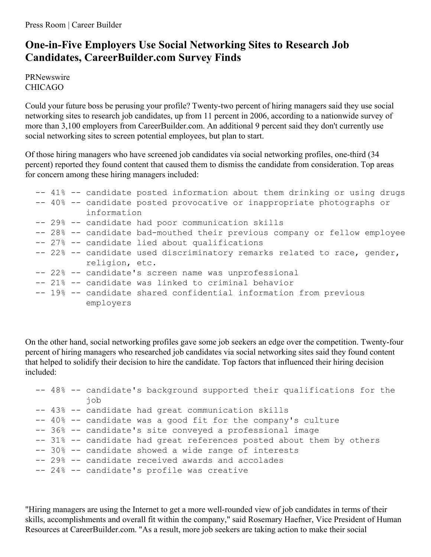Press Room | Career Builder

## **One-in-Five Employers Use Social Networking Sites to Research Job Candidates, CareerBuilder.com Survey Finds**

PRNewswire CHICAGO

Could your future boss be perusing your profile? Twenty-two percent of hiring managers said they use social networking sites to research job candidates, up from 11 percent in 2006, according to a nationwide survey of more than 3,100 employers from CareerBuilder.com. An additional 9 percent said they don't currently use social networking sites to screen potential employees, but plan to start.

Of those hiring managers who have screened job candidates via social networking profiles, one-third (34 percent) reported they found content that caused them to dismiss the candidate from consideration. Top areas for concern among these hiring managers included:

```
-- 41% -- candidate posted information about them drinking or using drugs
-- 40% -- candidate posted provocative or inappropriate photographs or
         information
-- 29% -- candidate had poor communication skills
-- 28% -- candidate bad-mouthed their previous company or fellow employee
-- 27% -- candidate lied about qualifications
-- 22% -- candidate used discriminatory remarks related to race, gender,
          religion, etc.
-- 22% -- candidate's screen name was unprofessional
-- 21% -- candidate was linked to criminal behavior
-- 19% -- candidate shared confidential information from previous
         employers
```
On the other hand, social networking profiles gave some job seekers an edge over the competition. Twenty-four percent of hiring managers who researched job candidates via social networking sites said they found content that helped to solidify their decision to hire the candidate. Top factors that influenced their hiring decision included:

```
-- 48% -- candidate's background supported their qualifications for the
         job
-- 43% -- candidate had great communication skills
-- 40% -- candidate was a good fit for the company's culture
-- 36% -- candidate's site conveyed a professional image
-- 31% -- candidate had great references posted about them by others
-- 30% -- candidate showed a wide range of interests
-- 29% -- candidate received awards and accolades
-- 24% -- candidate's profile was creative
```
"Hiring managers are using the Internet to get a more well-rounded view of job candidates in terms of their skills, accomplishments and overall fit within the company," said Rosemary Haefner, Vice President of Human Resources at CareerBuilder.com. "As a result, more job seekers are taking action to make their social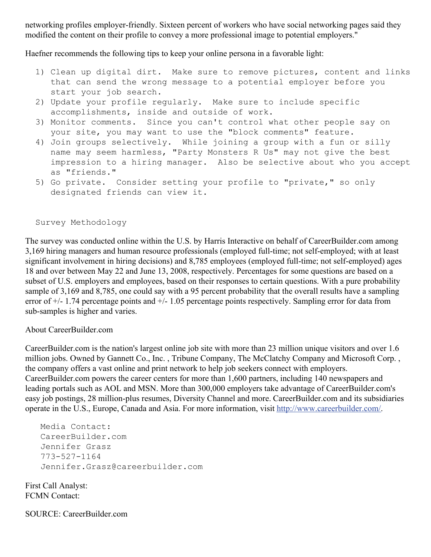networking profiles employer-friendly. Sixteen percent of workers who have social networking pages said they modified the content on their profile to convey a more professional image to potential employers."

Haefner recommends the following tips to keep your online persona in a favorable light:

- 1) Clean up digital dirt. Make sure to remove pictures, content and links that can send the wrong message to a potential employer before you start your job search.
- 2) Update your profile regularly. Make sure to include specific accomplishments, inside and outside of work.
- 3) Monitor comments. Since you can't control what other people say on your site, you may want to use the "block comments" feature.
- 4) Join groups selectively. While joining a group with a fun or silly name may seem harmless, "Party Monsters R Us" may not give the best impression to a hiring manager. Also be selective about who you accept as "friends."
- 5) Go private. Consider setting your profile to "private," so only designated friends can view it.

## Survey Methodology

The survey was conducted online within the U.S. by Harris Interactive on behalf of CareerBuilder.com among 3,169 hiring managers and human resource professionals (employed full-time; not self-employed; with at least significant involvement in hiring decisions) and 8,785 employees (employed full-time; not self-employed) ages 18 and over between May 22 and June 13, 2008, respectively. Percentages for some questions are based on a subset of U.S. employers and employees, based on their responses to certain questions. With a pure probability sample of 3,169 and 8,785, one could say with a 95 percent probability that the overall results have a sampling error of  $+/- 1.74$  percentage points and  $+/- 1.05$  percentage points respectively. Sampling error for data from sub-samples is higher and varies.

## About CareerBuilder.com

CareerBuilder.com is the nation's largest online job site with more than 23 million unique visitors and over 1.6 million jobs. Owned by Gannett Co., Inc. , Tribune Company, The McClatchy Company and Microsoft Corp. , the company offers a vast online and print network to help job seekers connect with employers. CareerBuilder.com powers the career centers for more than 1,600 partners, including 140 newspapers and leading portals such as AOL and MSN. More than 300,000 employers take advantage of CareerBuilder.com's easy job postings, 28 million-plus resumes, Diversity Channel and more. CareerBuilder.com and its subsidiaries operate in the U.S., Europe, Canada and Asia. For more information, visit <http://www.careerbuilder.com/>.

Media Contact: CareerBuilder.com Jennifer Grasz 773-527-1164 Jennifer.Grasz@careerbuilder.com

First Call Analyst: FCMN Contact:

SOURCE: CareerBuilder.com